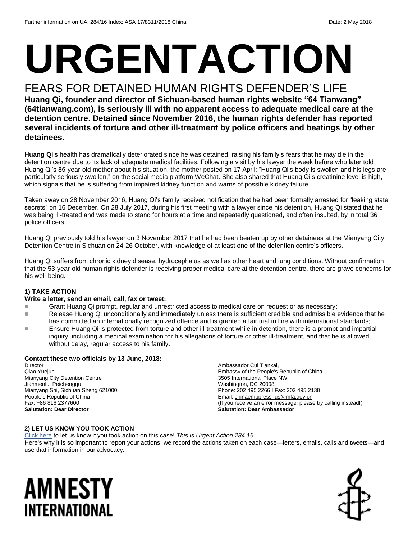# **URGENTACTION**

#### FEARS FOR DETAINED HUMAN RIGHTS DEFENDER'S LIFE

**Huang Qi, founder and director of Sichuan-based human rights website "64 Tianwang" (64tianwang.com), is seriously ill with no apparent access to adequate medical care at the detention centre. Detained since November 2016, the human rights defender has reported several incidents of torture and other ill-treatment by police officers and beatings by other detainees.** 

**Huang Qi**'s health has dramatically deteriorated since he was detained, raising his family's fears that he may die in the detention centre due to its lack of adequate medical facilities. Following a visit by his lawyer the week before who later told Huang Qi's 85-year-old mother about his situation, the mother posted on 17 April; "Huang Qi's body is swollen and his legs are particularly seriously swollen," on the social media platform WeChat. She also shared that Huang Qi's creatinine level is high, which signals that he is suffering from impaired kidney function and warns of possible kidney failure.

Taken away on 28 November 2016, Huang Qi's family received notification that he had been formally arrested for "leaking state secrets" on 16 December. On 28 July 2017, during his first meeting with a lawyer since his detention, Huang Qi stated that he was being ill-treated and was made to stand for hours at a time and repeatedly questioned, and often insulted, by in total 36 police officers.

Huang Qi previously told his lawyer on 3 November 2017 that he had been beaten up by other detainees at the Mianyang City Detention Centre in Sichuan on 24-26 October, with knowledge of at least one of the detention centre's officers.

Huang Qi suffers from chronic kidney disease, hydrocephalus as well as other heart and lung conditions. Without confirmation that the 53-year-old human rights defender is receiving proper medical care at the detention centre, there are grave concerns for his well-being.

#### **1) TAKE ACTION**

#### **Write a letter, send an email, call, fax or tweet:**

- Grant Huang Qi prompt, regular and unrestricted access to medical care on request or as necessary;
- Release Huang Qi unconditionally and immediately unless there is sufficient credible and admissible evidence that he has committed an internationally recognized offence and is granted a fair trial in line with international standards;
- Ensure Huang Qi is protected from torture and other ill-treatment while in detention, there is a prompt and impartial inquiry, including a medical examination for his allegations of torture or other ill-treatment, and that he is allowed, without delay, regular access to his family.

#### **Contact these two officials by 13 June, 2018:**

Director Qiao Yuejun Mianyang City Detention Centre Jianmenlu, Peichengqu, Mianyang Shi, Sichuan Sheng 621000 People's Republic of China Fax: +86 816 2377600 **Salutation: Dear Director**

Ambassador Cui Tiankai, Embassy of the People's Republic of China 3505 International Place NW Washington, DC 20008 Phone: 202 495 2266 I Fax: 202 495 2138 Email[: chinaembpress\\_us@mfa.gov.cn](mailto:chinaembpress_us@mfa.gov.cn) (If you receive an error message, please try calling instead!) **Salutation: Dear Ambassador**

#### **2) LET US KNOW YOU TOOK ACTION**

[Click here](https://www.amnestyusa.org/report-urgent-actions/) to let us know if you took action on this case! *This is Urgent Action 284.16* Here's why it is so important to report your actions: we record the actions taken on each case—letters, emails, calls and tweets—and use that information in our advocacy**.**

### AMNESTY INTERNATIONAL